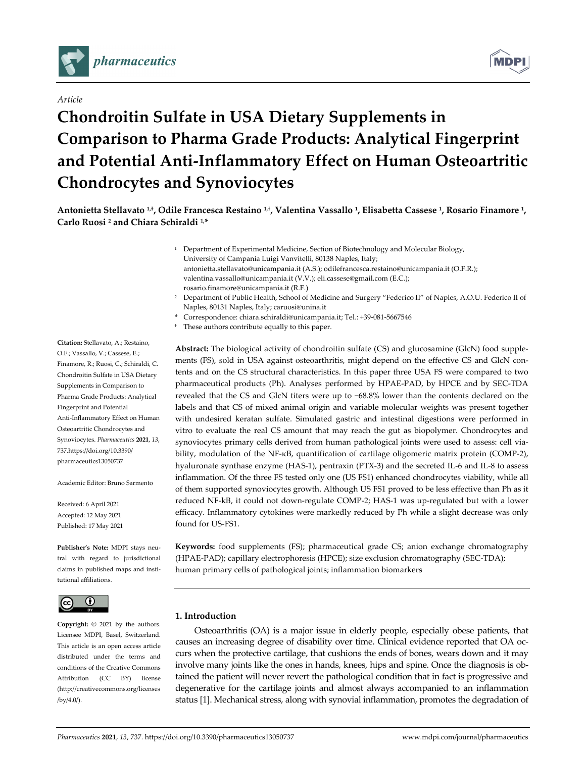

# *Article*

# **Chondroitin Sulfate in USA Dietary Supplements in Comparison to Pharma Grade Products: Analytical Fingerprint and Potential Anti‐Inflammatory Effect on Human Osteoartritic Chondrocytes and Synoviocytes**

Antonietta Stellavato<sup>1,†</sup>, Odile Francesca Restaino<sup>1,†</sup>, Valentina Vassallo<sup>1</sup>, Elisabetta Cassese<sup>1</sup>, Rosario Finamore<sup>1</sup>, **Carlo Ruosi <sup>2</sup> and Chiara Schiraldi 1,\***

- <sup>1</sup> Department of Experimental Medicine, Section of Biotechnology and Molecular Biology, University of Campania Luigi Vanvitelli, 80138 Naples, Italy; antonietta.stellavato@unicampania.it (A.S.); odilefrancesca.restaino@unicampania.it (O.F.R.); valentina.vassallo@unicampania.it (V.V.); eli.cassese@gmail.com (E.C.); rosario.finamore@unicampania.it (R.F.)
- <sup>2</sup> Department of Public Health, School of Medicine and Surgery "Federico II" of Naples, A.O.U. Federico II of Naples, 80131 Naples, Italy; caruosi@unina.it
- **\*** Correspondence: chiara.schiraldi@unicampania.it; Tel.: +39‐081‐5667546
- † These authors contribute equally to this paper.

**Abstract:** The biological activity of chondroitin sulfate (CS) and glucosamine (GlcN) food supple‐ ments (FS), sold in USA against osteoarthritis, might depend on the effective CS and GlcN contents and on the CS structural characteristics. In this paper three USA FS were compared to two pharmaceutical products (Ph). Analyses performed by HPAE‐PAD, by HPCE and by SEC‐TDA revealed that the CS and GlcN titers were up to −68.8% lower than the contents declared on the labels and that CS of mixed animal origin and variable molecular weights was present together with undesired keratan sulfate. Simulated gastric and intestinal digestions were performed in vitro to evaluate the real CS amount that may reach the gut as biopolymer. Chondrocytes and synoviocytes primary cells derived from human pathological joints were used to assess: cell via‐ bility, modulation of the NF‐κB, quantification of cartilage oligomeric matrix protein (COMP‐2), hyaluronate synthase enzyme (HAS‐1), pentraxin (PTX‐3) and the secreted IL‐6 and IL‐8 to assess inflammation. Of the three FS tested only one (US FS1) enhanced chondrocytes viability, while all of them supported synoviocytes growth. Although US FS1 proved to be less effective than Ph as it reduced NF‐kB, it could not down‐regulate COMP‐2; HAS‐1 was up‐regulated but with a lower efficacy. Inflammatory cytokines were markedly reduced by Ph while a slight decrease was only found for US‐FS1.

**Keywords:** food supplements (FS); pharmaceutical grade CS; anion exchange chromatography (HPAE‐PAD); capillary electrophoresis (HPCE); size exclusion chromatography (SEC‐TDA); human primary cells of pathological joints; inflammation biomarkers

# **1. Introduction**

Osteoarthritis (OA) is a major issue in elderly people, especially obese patients, that causes an increasing degree of disability over time. Clinical evidence reported that OA oc‐ curs when the protective cartilage, that cushions the ends of bones, wears down and it may involve many joints like the ones in hands, knees, hips and spine. Once the diagnosis is ob‐ tained the patient will never revert the pathological condition that in fact is progressive and degenerative for the cartilage joints and almost always accompanied to an inflammation status [1]. Mechanical stress, along with synovial inflammation, promotes the degradation of

**Citation:** Stellavato, A.; Restaino, O.F.; Vassallo, V.; Cassese, E.; Finamore, R.; Ruosi, C.; Schiraldi, C. Chondroitin Sulfate in USA Dietary Supplements in Comparison to Pharma Grade Products: Analytical Fingerprint and Potential Anti‐Inflammatory Effect on Human Osteoartritic Chondrocytes and Synoviocytes. *Pharmaceutics* **2021**, *13*, 737.https://doi.org/10.3390/ pharmaceutics13050737

Academic Editor: Bruno Sarmento

Received: 6 April 2021 Accepted: 12 May 2021 Published: 17 May 2021

**Publisher's Note:** MDPI stays neu‐ tral with regard to jurisdictional claims in published maps and insti‐ tutional affiliations.



**Copyright:** © 2021 by the authors. Licensee MDPI, Basel, Switzerland. This article is an open access article distributed under the terms and conditions of the Creative Commons Attribution (CC BY) license (http://creativecommons.org/licenses /by/4.0/).

**MDP**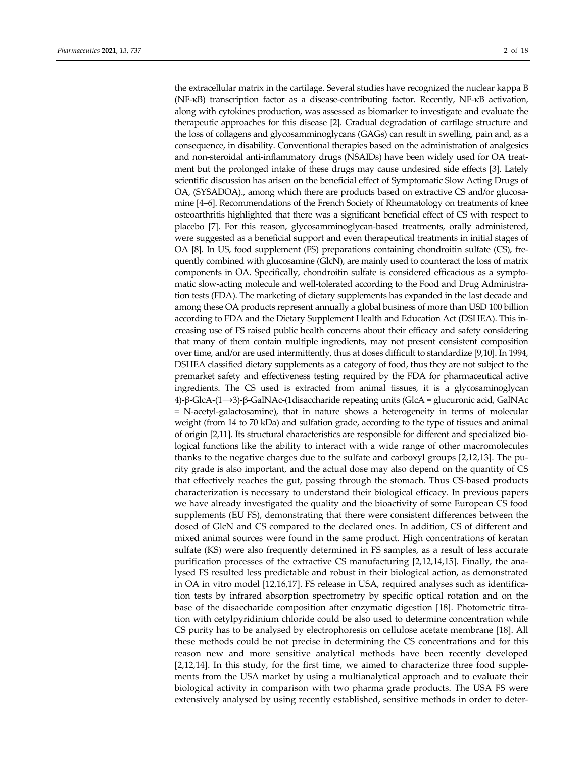the extracellular matrix in the cartilage. Several studies have recognized the nuclear kappa B (NF‐κB) transcription factor as a disease‐contributing factor. Recently, NF‐κB activation, along with cytokines production, was assessed as biomarker to investigate and evaluate the therapeutic approaches for this disease [2]. Gradual degradation of cartilage structure and the loss of collagens and glycosamminoglycans (GAGs) can result in swelling, pain and, as a consequence, in disability. Conventional therapies based on the administration of analgesics and non‐steroidal anti‐inflammatory drugs (NSAIDs) have been widely used for OA treat‐ ment but the prolonged intake of these drugs may cause undesired side effects [3]. Lately scientific discussion has arisen on the beneficial effect of Symptomatic Slow Acting Drugs of OA, (SYSADOA)., among which there are products based on extractive CS and/or glucosamine [4–6]. Recommendations of the French Society of Rheumatology on treatments of knee osteoarthritis highlighted that there was a significant beneficial effect of CS with respect to placebo [7]. For this reason, glycosamminoglycan‐based treatments, orally administered, were suggested as a beneficial support and even therapeutical treatments in initial stages of OA [8]. In US, food supplement (FS) preparations containing chondroitin sulfate (CS), fre‐ quently combined with glucosamine (GlcN), are mainly used to counteract the loss of matrix components in OA. Specifically, chondroitin sulfate is considered efficacious as a sympto‐ matic slow-acting molecule and well-tolerated according to the Food and Drug Administration tests (FDA). The marketing of dietary supplements has expanded in the last decade and among these OA products represent annually a global business of more than USD 100 billion according to FDA and the Dietary Supplement Health and Education Act (DSHEA). This in‐ creasing use of FS raised public health concerns about their efficacy and safety considering that many of them contain multiple ingredients, may not present consistent composition over time, and/or are used intermittently, thus at doses difficult to standardize [9,10]. In 1994, DSHEA classified dietary supplements as a category of food, thus they are not subject to the premarket safety and effectiveness testing required by the FDA for pharmaceutical active ingredients. The CS used is extracted from animal tissues, it is a glycosaminoglycan 4)‐β‐GlcA‐(1→3)‐β‐GalNAc‐(1disaccharide repeating units (GlcA = glucuronic acid, GalNAc = N‐acetyl‐galactosamine), that in nature shows a heterogeneity in terms of molecular weight (from 14 to 70 kDa) and sulfation grade, according to the type of tissues and animal of origin [2,11]. Its structural characteristics are responsible for different and specialized bio‐ logical functions like the ability to interact with a wide range of other macromolecules thanks to the negative charges due to the sulfate and carboxyl groups [2,12,13]. The pu‐ rity grade is also important, and the actual dose may also depend on the quantity of CS that effectively reaches the gut, passing through the stomach. Thus CS‐based products characterization is necessary to understand their biological efficacy. In previous papers we have already investigated the quality and the bioactivity of some European CS food supplements (EU FS), demonstrating that there were consistent differences between the dosed of GlcN and CS compared to the declared ones. In addition, CS of different and mixed animal sources were found in the same product. High concentrations of keratan sulfate (KS) were also frequently determined in FS samples, as a result of less accurate purification processes of the extractive CS manufacturing [2,12,14,15]. Finally, the analysed FS resulted less predictable and robust in their biological action, as demonstrated in OA in vitro model [12,16,17]. FS release in USA, required analyses such as identification tests by infrared absorption spectrometry by specific optical rotation and on the base of the disaccharide composition after enzymatic digestion [18]. Photometric titra‐ tion with cetylpyridinium chloride could be also used to determine concentration while CS purity has to be analysed by electrophoresis on cellulose acetate membrane [18]. All these methods could be not precise in determining the CS concentrations and for this reason new and more sensitive analytical methods have been recently developed [2,12,14]. In this study, for the first time, we aimed to characterize three food supple‐ ments from the USA market by using a multianalytical approach and to evaluate their biological activity in comparison with two pharma grade products. The USA FS were extensively analysed by using recently established, sensitive methods in order to deter‐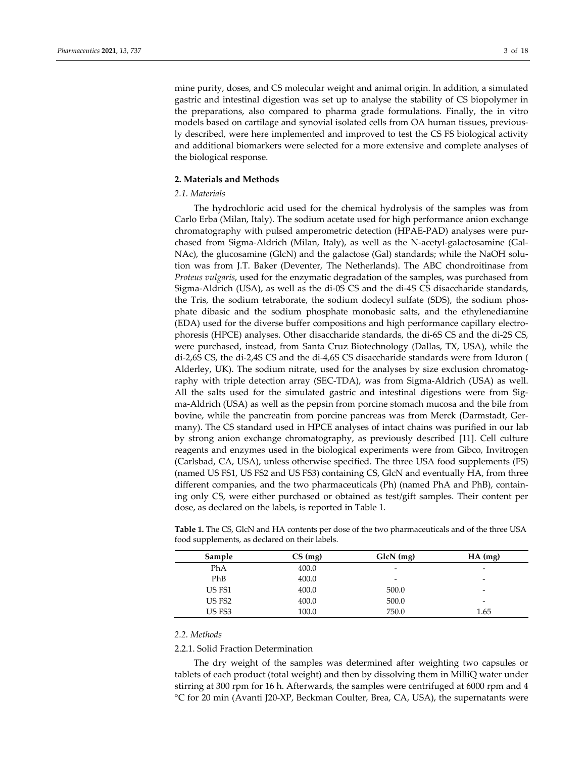mine purity, doses, and CS molecular weight and animal origin. In addition, a simulated gastric and intestinal digestion was set up to analyse the stability of CS biopolymer in the preparations, also compared to pharma grade formulations. Finally, the in vitro models based on cartilage and synovial isolated cells from OA human tissues, previous‐ ly described, were here implemented and improved to test the CS FS biological activity and additional biomarkers were selected for a more extensive and complete analyses of the biological response.

# **2. Materials and Methods**

# *2.1. Materials*

The hydrochloric acid used for the chemical hydrolysis of the samples was from Carlo Erba (Milan, Italy). The sodium acetate used for high performance anion exchange chromatography with pulsed amperometric detection (HPAE‐PAD) analyses were pur‐ chased from Sigma-Aldrich (Milan, Italy), as well as the N-acetyl-galactosamine (Gal-NAc), the glucosamine (GlcN) and the galactose (Gal) standards; while the NaOH solu‐ tion was from J.T. Baker (Deventer, The Netherlands). The ABC chondroitinase from *Proteus vulgaris*, used for the enzymatic degradation of the samples, was purchased from Sigma‐Aldrich (USA), as well as the di‐0S CS and the di‐4S CS disaccharide standards, the Tris, the sodium tetraborate, the sodium dodecyl sulfate (SDS), the sodium phos‐ phate dibasic and the sodium phosphate monobasic salts, and the ethylenediamine (EDA) used for the diverse buffer compositions and high performance capillary electro‐ phoresis (HPCE) analyses. Other disaccharide standards, the di‐6S CS and the di‐2S CS, were purchased, instead, from Santa Cruz Biotechnology (Dallas, TX, USA), while the di‐2,6S CS, the di‐2,4S CS and the di‐4,6S CS disaccharide standards were from Iduron ( Alderley, UK). The sodium nitrate, used for the analyses by size exclusion chromatog‐ raphy with triple detection array (SEC‐TDA), was from Sigma‐Aldrich (USA) as well. All the salts used for the simulated gastric and intestinal digestions were from Sig‐ ma‐Aldrich (USA) as well as the pepsin from porcine stomach mucosa and the bile from bovine, while the pancreatin from porcine pancreas was from Merck (Darmstadt, Ger‐ many). The CS standard used in HPCE analyses of intact chains was purified in our lab by strong anion exchange chromatography, as previously described [11]. Cell culture reagents and enzymes used in the biological experiments were from Gibco, Invitrogen (Carlsbad, CA, USA), unless otherwise specified. The three USA food supplements (FS) (named US FS1, US FS2 and US FS3) containing CS, GlcN and eventually HA, from three different companies, and the two pharmaceuticals (Ph) (named PhA and PhB), contain‐ ing only CS, were either purchased or obtained as test/gift samples. Their content per dose, as declared on the labels, is reported in Table 1.

| Sample | $CS$ (mg) | GlcN (mg) | $HA$ (mg)                |
|--------|-----------|-----------|--------------------------|
| PhA    | 400.0     | -         | $\overline{\phantom{0}}$ |
| PhB    | 400.0     | -         | $\overline{\phantom{0}}$ |
| US FS1 | 400.0     | 500.0     | $\overline{\phantom{0}}$ |
| US FS2 | 400.0     | 500.0     | $\overline{\phantom{0}}$ |
| US FS3 | 100.0     | 750.0     | 1.65                     |

**Table 1.** The CS, GlcN and HA contents per dose of the two pharmaceuticals and of the three USA food supplements, as declared on their labels.

#### *2.2. Methods*

2.2.1. Solid Fraction Determination

The dry weight of the samples was determined after weighting two capsules or tablets of each product (total weight) and then by dissolving them in MilliQ water under stirring at 300 rpm for 16 h. Afterwards, the samples were centrifuged at 6000 rpm and 4 °C for 20 min (Avanti J20‐XP, Beckman Coulter, Brea, CA, USA), the supernatants were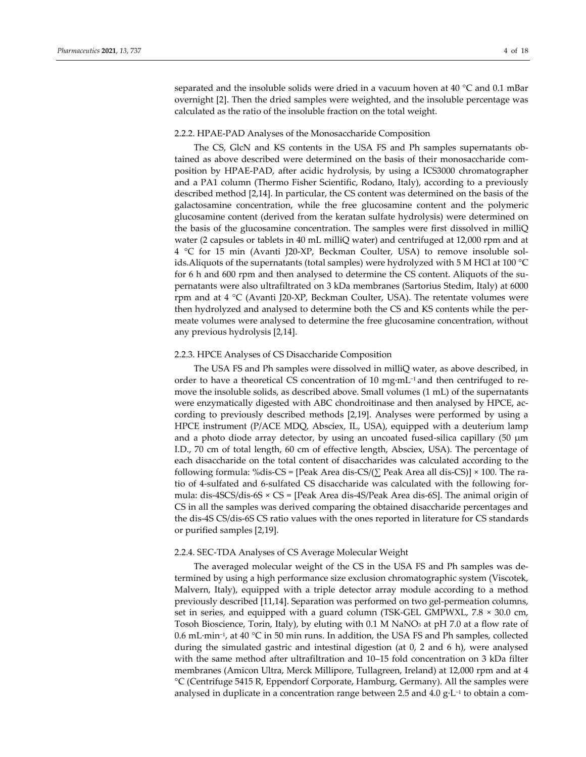separated and the insoluble solids were dried in a vacuum hoven at 40 °C and 0.1 mBar overnight [2]. Then the dried samples were weighted, and the insoluble percentage was calculated as the ratio of the insoluble fraction on the total weight.

#### 2.2.2. HPAE‐PAD Analyses of the Monosaccharide Composition

The CS, GlcN and KS contents in the USA FS and Ph samples supernatants ob‐ tained as above described were determined on the basis of their monosaccharide composition by HPAE‐PAD, after acidic hydrolysis, by using a ICS3000 chromatographer and a PA1 column (Thermo Fisher Scientific, Rodano, Italy), according to a previously described method [2,14]. In particular, the CS content was determined on the basis of the galactosamine concentration, while the free glucosamine content and the polymeric glucosamine content (derived from the keratan sulfate hydrolysis) were determined on the basis of the glucosamine concentration. The samples were first dissolved in milliQ water (2 capsules or tablets in 40 mL milliQ water) and centrifuged at 12,000 rpm and at 4 °C for 15 min (Avanti J20‐XP, Beckman Coulter, USA) to remove insoluble sol‐ ids.Aliquots of the supernatants (total samples) were hydrolyzed with 5 M HCl at 100 °C for 6 h and 600 rpm and then analysed to determine the CS content. Aliquots of the supernatants were also ultrafiltrated on 3 kDa membranes (Sartorius Stedim, Italy) at 6000 rpm and at  $4 \text{ }^{\circ}\text{C}$  (Avanti J20-XP, Beckman Coulter, USA). The retentate volumes were then hydrolyzed and analysed to determine both the CS and KS contents while the per‐ meate volumes were analysed to determine the free glucosamine concentration, without any previous hydrolysis [2,14].

## 2.2.3. HPCE Analyses of CS Disaccharide Composition

The USA FS and Ph samples were dissolved in milliQ water, as above described, in order to have a theoretical CS concentration of 10 mg∙mL−<sup>1</sup> and then centrifuged to re‐ move the insoluble solids, as described above. Small volumes (1 mL) of the supernatants were enzymatically digested with ABC chondroitinase and then analysed by HPCE, according to previously described methods [2,19]. Analyses were performed by using a HPCE instrument (P/ACE MDQ, Absciex, IL, USA), equipped with a deuterium lamp and a photo diode array detector, by using an uncoated fused-silica capillary  $(50 \mu m)$ I.D., 70 cm of total length, 60 cm of effective length, Absciex, USA). The percentage of each disaccharide on the total content of disaccharides was calculated according to the following formula: %dis-CS = [Peak Area dis-CS/( $\Sigma$  Peak Area all dis-CS)] × 100. The ratio of 4‐sulfated and 6‐sulfated CS disaccharide was calculated with the following for‐ mula: dis‐4SCS/dis‐6S × CS = [Peak Area dis‐4S/Peak Area dis‐6S]. The animal origin of CS in all the samples was derived comparing the obtained disaccharide percentages and the dis‐4S CS/dis‐6S CS ratio values with the ones reported in literature for CS standards or purified samples [2,19].

## 2.2.4. SEC‐TDA Analyses of CS Average Molecular Weight

The averaged molecular weight of the CS in the USA FS and Ph samples was de‐ termined by using a high performance size exclusion chromatographic system (Viscotek, Malvern, Italy), equipped with a triple detector array module according to a method previously described [11,14]. Separation was performed on two gel‐permeation columns, set in series, and equipped with a guard column (TSK-GEL GMPWXL,  $7.8 \times 30.0$  cm, Tosoh Bioscience, Torin, Italy), by eluting with 0.1 M NaNO<sub>3</sub> at pH 7.0 at a flow rate of 0.6 mL∙min−1, at 40 °C in 50 min runs. In addition, the USA FS and Ph samples, collected during the simulated gastric and intestinal digestion (at 0, 2 and 6 h), were analysed with the same method after ultrafiltration and 10–15 fold concentration on 3 kDa filter membranes (Amicon Ultra, Merck Millipore, Tullagreen, Ireland) at 12,000 rpm and at 4 °C (Centrifuge 5415 R, Eppendorf Corporate, Hamburg, Germany). All the samples were analysed in duplicate in a concentration range between 2.5 and 4.0 g⋅L<sup>-1</sup> to obtain a com-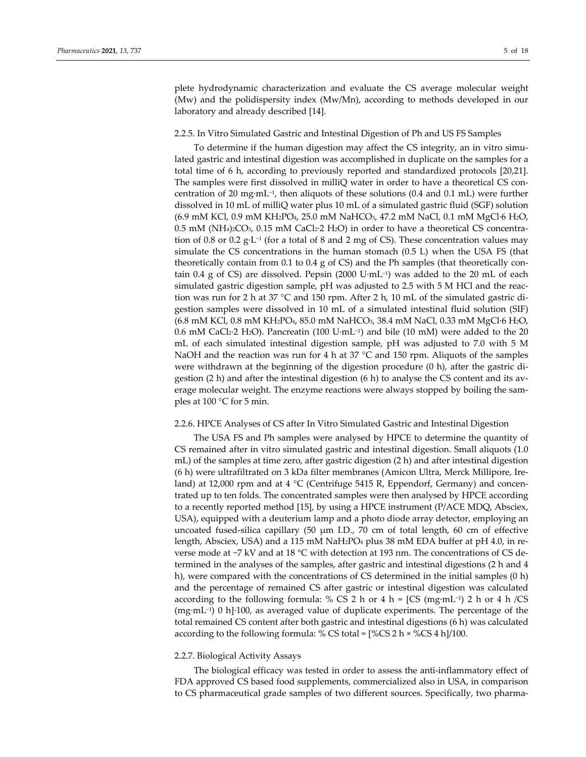plete hydrodynamic characterization and evaluate the CS average molecular weight (Mw) and the polidispersity index (Mw/Mn), according to methods developed in our laboratory and already described [14].

#### 2.2.5. In Vitro Simulated Gastric and Intestinal Digestion of Ph and US FS Samples

To determine if the human digestion may affect the CS integrity, an in vitro simu‐ lated gastric and intestinal digestion was accomplished in duplicate on the samples for a total time of 6 h, according to previously reported and standardized protocols [20,21]. The samples were first dissolved in milliQ water in order to have a theoretical CS concentration of 20 mg∙mL−1, then aliquots of these solutions (0.4 and 0.1 mL) were further dissolved in 10 mL of milliQ water plus 10 mL of a simulated gastric fluid (SGF) solution (6.9 mM KCl, 0.9 mM KH2PO4, 25.0 mM NaHCO3, 47.2 mM NaCl, 0.1 mM MgCl∙6 H2O, 0.5 mM (NH4)2CO<sub>3</sub>, 0.15 mM CaCl2⋅2 H2O) in order to have a theoretical CS concentration of 0.8 or 0.2 g∙L−<sup>1</sup> (for a total of 8 and 2 mg of CS). These concentration values may simulate the CS concentrations in the human stomach (0.5 L) when the USA FS (that theoretically contain from 0.1 to 0.4 g of CS) and the Ph samples (that theoretically contain 0.4 g of CS) are dissolved. Pepsin (2000 U∙mL−1) was added to the 20 mL of each simulated gastric digestion sample, pH was adjusted to 2.5 with 5 M HCl and the reac‐ tion was run for 2 h at 37 °C and 150 rpm. After 2 h, 10 mL of the simulated gastric digestion samples were dissolved in 10 mL of a simulated intestinal fluid solution (SIF) (6.8 mM KCl, 0.8 mM KH2PO4, 85.0 mM NaHCO3, 38.4 mM NaCl, 0.33 mM MgCl∙6 H2O, 0.6 mM CaCl2∙2 H2O). Pancreatin (100 U∙mL−1) and bile (10 mM) were added to the 20 mL of each simulated intestinal digestion sample, pH was adjusted to 7.0 with 5 M NaOH and the reaction was run for 4 h at 37 °C and 150 rpm. Aliquots of the samples were withdrawn at the beginning of the digestion procedure (0 h), after the gastric digestion  $(2 h)$  and after the intestinal digestion  $(6 h)$  to analyse the CS content and its average molecular weight. The enzyme reactions were always stopped by boiling the samples at 100 °C for 5 min.

#### 2.2.6. HPCE Analyses of CS after In Vitro Simulated Gastric and Intestinal Digestion

The USA FS and Ph samples were analysed by HPCE to determine the quantity of CS remained after in vitro simulated gastric and intestinal digestion. Small aliquots (1.0 mL) of the samples at time zero, after gastric digestion (2 h) and after intestinal digestion (6 h) were ultrafiltrated on 3 kDa filter membranes (Amicon Ultra, Merck Millipore, Ire‐ land) at 12,000 rpm and at 4 °C (Centrifuge 5415 R, Eppendorf, Germany) and concentrated up to ten folds. The concentrated samples were then analysed by HPCE according to a recently reported method [15], by using a HPCE instrument (P/ACE MDQ, Absciex, USA), equipped with a deuterium lamp and a photo diode array detector, employing an uncoated fused‐silica capillary (50 μm I.D., 70 cm of total length, 60 cm of effective length, Absciex, USA) and a 115 mM NaH2PO4 plus 38 mM EDA buffer at pH 4.0, in re‐ verse mode at −7 kV and at 18 °C with detection at 193 nm. The concentrations of CS de‐ termined in the analyses of the samples, after gastric and intestinal digestions (2 h and 4 h), were compared with the concentrations of CS determined in the initial samples (0 h) and the percentage of remained CS after gastric or intestinal digestion was calculated according to the following formula: % CS 2 h or 4 h = [CS (mg∙mL−1) 2 h or 4 h /CS (mg∙mL−1) 0 h]∙100, as averaged value of duplicate experiments. The percentage of the total remained CS content after both gastric and intestinal digestions (6 h) was calculated according to the following formula: % CS total =  $[%CS 2 h \times %CS 4 h]/100$ .

# 2.2.7. Biological Activity Assays

The biological efficacy was tested in order to assess the anti‐inflammatory effect of FDA approved CS based food supplements, commercialized also in USA, in comparison to CS pharmaceutical grade samples of two different sources. Specifically, two pharma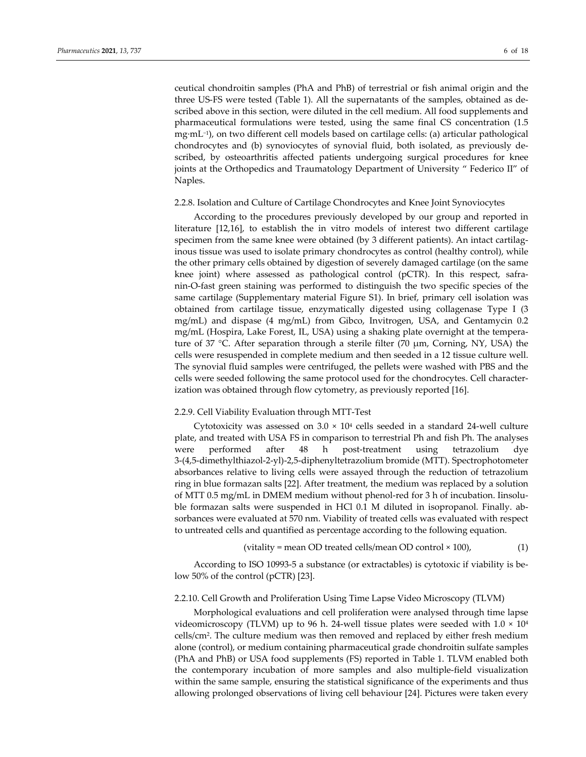ceutical chondroitin samples (PhA and PhB) of terrestrial or fish animal origin and the three US‐FS were tested (Table 1). All the supernatants of the samples, obtained as de‐ scribed above in this section, were diluted in the cell medium. All food supplements and pharmaceutical formulations were tested, using the same final CS concentration (1.5 mg∙mL−1), on two different cell models based on cartilage cells: (a) articular pathological chondrocytes and (b) synoviocytes of synovial fluid, both isolated, as previously de‐ scribed, by osteoarthritis affected patients undergoing surgical procedures for knee joints at the Orthopedics and Traumatology Department of University " Federico II" of Naples.

#### 2.2.8. Isolation and Culture of Cartilage Chondrocytes and Knee Joint Synoviocytes

According to the procedures previously developed by our group and reported in literature [12,16], to establish the in vitro models of interest two different cartilage specimen from the same knee were obtained (by 3 different patients). An intact cartilaginous tissue was used to isolate primary chondrocytes as control (healthy control), while the other primary cells obtained by digestion of severely damaged cartilage (on the same knee joint) where assessed as pathological control ( $pCTR$ ). In this respect, safranin‐O‐fast green staining was performed to distinguish the two specific species of the same cartilage (Supplementary material Figure S1). In brief, primary cell isolation was obtained from cartilage tissue, enzymatically digested using collagenase Type I (3 mg/mL) and dispase (4 mg/mL) from Gibco, Invitrogen, USA, and Gentamycin 0.2 mg/mL (Hospira, Lake Forest, IL, USA) using a shaking plate overnight at the tempera‐ ture of 37 °C. After separation through a sterile filter (70  $\mu$ m, Corning, NY, USA) the cells were resuspended in complete medium and then seeded in a 12 tissue culture well. The synovial fluid samples were centrifuged, the pellets were washed with PBS and the cells were seeded following the same protocol used for the chondrocytes. Cell character‐ ization was obtained through flow cytometry, as previously reported [16].

#### 2.2.9. Cell Viability Evaluation through MTT‐Test

Cytotoxicity was assessed on  $3.0 \times 10^4$  cells seeded in a standard 24-well culture plate, and treated with USA FS in comparison to terrestrial Ph and fish Ph. The analyses were performed after 48 h post-treatment using tetrazolium dye 3‐(4,5‐dimethylthiazol‐2‐yl)‐2,5‐diphenyltetrazolium bromide (MTT). Spectrophotometer absorbances relative to living cells were assayed through the reduction of tetrazolium ring in blue formazan salts [22]. After treatment, the medium was replaced by a solution of MTT 0.5 mg/mL in DMEM medium without phenol‐red for 3 h of incubation. Iinsolu‐ ble formazan salts were suspended in HCl 0.1 M diluted in isopropanol. Finally. ab‐ sorbances were evaluated at 570 nm. Viability of treated cells was evaluated with respect to untreated cells and quantified as percentage according to the following equation.

$$
(vitality = mean OD treated cells/mean OD control × 100),
$$
\n
$$
(1)
$$

According to ISO 10993‐5 a substance (or extractables) is cytotoxic if viability is be‐ low 50% of the control (pCTR) [23].

# 2.2.10. Cell Growth and Proliferation Using Time Lapse Video Microscopy (TLVM)

Morphological evaluations and cell proliferation were analysed through time lapse videomicroscopy (TLVM) up to 96 h. 24‐well tissue plates were seeded with 1.0 × 104 cells/cm2. The culture medium was then removed and replaced by either fresh medium alone (control), or medium containing pharmaceutical grade chondroitin sulfate samples (PhA and PhB) or USA food supplements (FS) reported in Table 1. TLVM enabled both the contemporary incubation of more samples and also multiple‐field visualization within the same sample, ensuring the statistical significance of the experiments and thus allowing prolonged observations of living cell behaviour [24]. Pictures were taken every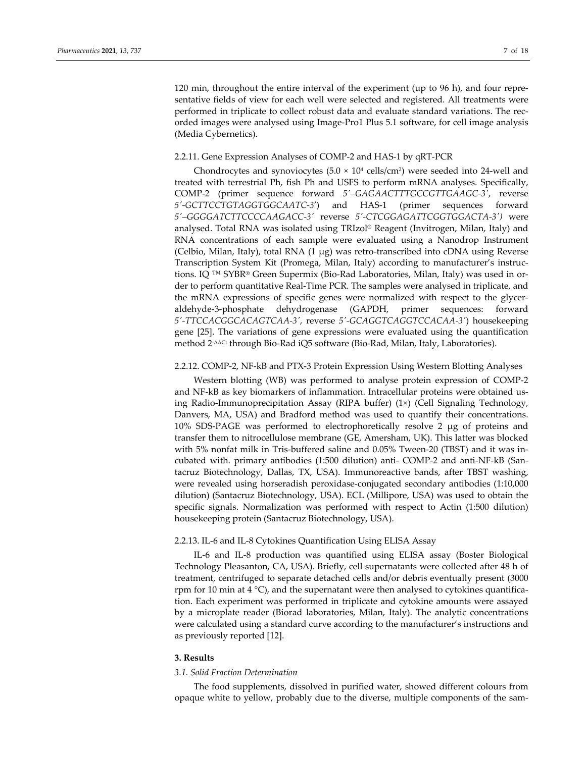120 min, throughout the entire interval of the experiment (up to 96 h), and four repre‐ sentative fields of view for each well were selected and registered. All treatments were performed in triplicate to collect robust data and evaluate standard variations. The rec‐ orded images were analysed using Image‐Pro1 Plus 5.1 software, for cell image analysis (Media Cybernetics).

# 2.2.11. Gene Expression Analyses of COMP‐2 and HAS‐1 by qRT‐PCR

Chondrocytes and synoviocytes  $(5.0 \times 10^4 \text{ cells/cm}^2)$  were seeded into 24-well and treated with terrestrial Ph, fish Ph and USFS to perform mRNA analyses. Specifically, COMP‐2 (primer sequence forward *5′–GAGAACTTTGCCGTTGAAGC‐3′*, reverse *5′‐GCTTCCTGTAGGTGGCAATC‐3***′**) and HAS‐1 (primer sequences forward *5′–GGGGATCTTCCCCAAGACC‐3′* reverse *5′‐CTCGGAGATTCGGTGGACTA‐3′)* were analysed. Total RNA was isolated using TRIzol® Reagent (Invitrogen, Milan, Italy) and RNA concentrations of each sample were evaluated using a Nanodrop Instrument (Celbio, Milan, Italy), total RNA  $(1 \mu g)$  was retro-transcribed into cDNA using Reverse Transcription System Kit (Promega, Milan, Italy) according to manufacturer's instruc‐ tions. IQ ™ SYBR® Green Supermix (Bio‐Rad Laboratories, Milan, Italy) was used in or‐ der to perform quantitative Real‐Time PCR. The samples were analysed in triplicate, and the mRNA expressions of specific genes were normalized with respect to the glyceraldehyde‐3‐phosphate dehydrogenase (GAPDH, primer sequences: forward *5′‐TTCCACGGCACAGTCAA‐3′*, reverse *5′‐GCAGGTCAGGTCCACAA‐3′*) housekeeping gene [25]. The variations of gene expressions were evaluated using the quantification method 2<sup>-ΔΔCt</sup> through Bio-Rad iQ5 software (Bio-Rad, Milan, Italy, Laboratories).

#### 2.2.12. COMP‐2, NF‐kB and PTX‐3 Protein Expression Using Western Blotting Analyses

Western blotting (WB) was performed to analyse protein expression of COMP‐2 and NF‐kB as key biomarkers of inflammation. Intracellular proteins were obtained us‐ ing Radio‐Immunoprecipitation Assay (RIPA buffer) (1×) (Cell Signaling Technology, Danvers, MA, USA) and Bradford method was used to quantify their concentrations. 10% SDS‐PAGE was performed to electrophoretically resolve 2 μg of proteins and transfer them to nitrocellulose membrane (GE, Amersham, UK). This latter was blocked with 5% nonfat milk in Tris-buffered saline and 0.05% Tween-20 (TBST) and it was incubated with. primary antibodies (1:500 dilution) anti‐ COMP‐2 and anti‐NF‐kB (San‐ tacruz Biotechnology, Dallas, TX, USA). Immunoreactive bands, after TBST washing, were revealed using horseradish peroxidase‐conjugated secondary antibodies (1:10,000 dilution) (Santacruz Biotechnology, USA). ECL (Millipore, USA) was used to obtain the specific signals. Normalization was performed with respect to Actin (1:500 dilution) housekeeping protein (Santacruz Biotechnology, USA).

#### 2.2.13. IL‐6 and IL‐8 Cytokines Quantification Using ELISA Assay

IL‐6 and IL‐8 production was quantified using ELISA assay (Boster Biological Technology Pleasanton, CA, USA). Briefly, cell supernatants were collected after 48 h of treatment, centrifuged to separate detached cells and/or debris eventually present (3000 rpm for 10 min at 4  $^{\circ}$ C), and the supernatant were then analysed to cytokines quantification. Each experiment was performed in triplicate and cytokine amounts were assayed by a microplate reader (Biorad laboratories, Milan, Italy). The analytic concentrations were calculated using a standard curve according to the manufacturer's instructions and as previously reported [12].

#### **3. Results**

#### *3.1. Solid Fraction Determination*

The food supplements, dissolved in purified water, showed different colours from opaque white to yellow, probably due to the diverse, multiple components of the sam‐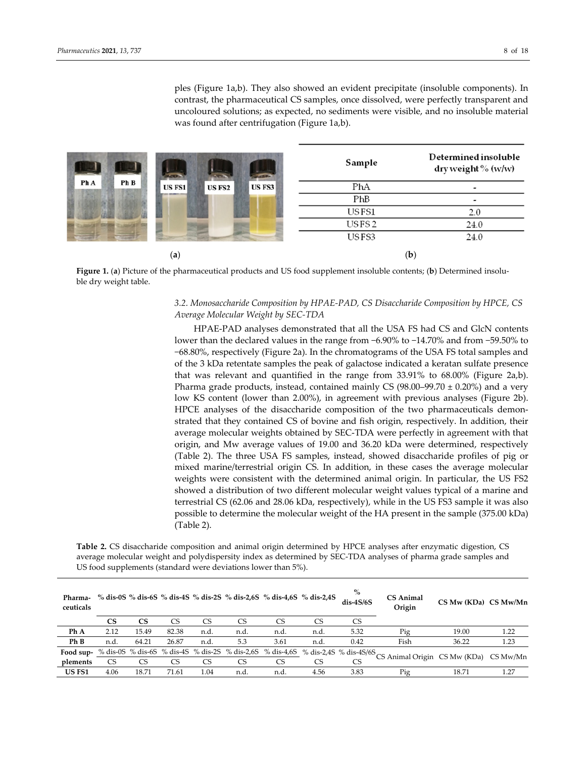ples (Figure 1a,b). They also showed an evident precipitate (insoluble components). In contrast, the pharmaceutical CS samples, once dissolved, were perfectly transparent and uncoloured solutions; as expected, no sediments were visible, and no insoluble material was found after centrifugation (Figure 1a,b).

|              |                                   | Sample            | Determined insoluble<br>dry weight % (w/w) |
|--------------|-----------------------------------|-------------------|--------------------------------------------|
| Ph B<br>Ph A | US FS3<br>US FS1<br><b>US FS2</b> | PhA               |                                            |
|              |                                   | PhB               | $\overline{\phantom{a}}$                   |
|              |                                   | USFS1             | 2.0                                        |
|              |                                   | USFS <sub>2</sub> | 24.0                                       |
|              |                                   | USFS3             | 24.0                                       |
|              | (a)                               |                   | $\left(\mathbf{b}\right)$                  |

**Figure 1.** (**a**) Picture of the pharmaceutical products and US food supplement insoluble contents; (**b**) Determined insolu‐ ble dry weight table.

# *3.2. Monosaccharide Composition by HPAE‐PAD, CS Disaccharide Composition by HPCE, CS Average Molecular Weight by SEC‐TDA*

HPAE‐PAD analyses demonstrated that all the USA FS had CS and GlcN contents lower than the declared values in the range from −6.90% to −14.70% and from −59.50% to −68.80%, respectively (Figure 2a). In the chromatograms of the USA FS total samples and of the 3 kDa retentate samples the peak of galactose indicated a keratan sulfate presence that was relevant and quantified in the range from 33.91% to 68.00% (Figure 2a,b). Pharma grade products, instead, contained mainly CS  $(98.00-99.70 \pm 0.20\%)$  and a very low KS content (lower than 2.00%), in agreement with previous analyses (Figure 2b). HPCE analyses of the disaccharide composition of the two pharmaceuticals demonstrated that they contained CS of bovine and fish origin, respectively. In addition, their average molecular weights obtained by SEC‐TDA were perfectly in agreement with that origin, and Mw average values of 19.00 and 36.20 kDa were determined, respectively (Table 2). The three USA FS samples, instead, showed disaccharide profiles of pig or mixed marine/terrestrial origin CS. In addition, in these cases the average molecular weights were consistent with the determined animal origin. In particular, the US FS2 showed a distribution of two different molecular weight values typical of a marine and terrestrial CS (62.06 and 28.06 kDa, respectively), while in the US FS3 sample it was also possible to determine the molecular weight of the HA present in the sample (375.00 kDa) (Table 2).

**Table 2.** CS disaccharide composition and animal origin determined by HPCE analyses after enzymatic digestion, CS average molecular weight and polydispersity index as determined by SEC‐TDA analyses of pharma grade samples and US food supplements (standard were deviations lower than 5%).

| Pharma-<br>ceuticals |           |       |       |      |      | % dis-0S % dis-6S % dis-4S % dis-2S % dis-2,6S % dis-4,6S % dis-2,4S |      | $\%$<br>$dis-4S/6S$                                                              | <b>CS Animal</b><br>Origin             | CS Mw (KDa) CS Mw/Mn |      |
|----------------------|-----------|-------|-------|------|------|----------------------------------------------------------------------|------|----------------------------------------------------------------------------------|----------------------------------------|----------------------|------|
|                      | CS        | CS    | CS    |      | CS   |                                                                      | CS   | CS                                                                               |                                        |                      |      |
| Ph A                 | 2.12      | 15.49 | 82.38 | n.d. | n.d. | n.d.                                                                 | n.d. | 5.32                                                                             | Pig                                    | 19.00                | 1.22 |
| Ph B                 | n.d.      | 64.21 | 26.87 | n.d. | 5.3  | 3.61                                                                 | n.d. | 0.42                                                                             | Fish                                   | 36.22                | 1.23 |
| Food sup-            |           |       |       |      |      |                                                                      |      | % dis-0S % dis-6S % dis-4S % dis-2S % dis-2,6S % dis-4,6S % dis-2,4S % dis-4S/6S | 'CS Animal Origin CS Mw (KDa) CS Mw/Mn |                      |      |
| plements             | <b>CS</b> | CS    | CS    | CS   | CS   | CS                                                                   |      | CS                                                                               |                                        |                      |      |
| US FS1               | 4.06      | 18.71 | 71.61 | 1.04 | n.d. | n.d.                                                                 | 4.56 | 3.83                                                                             | Pig                                    | 18.71                | 1.27 |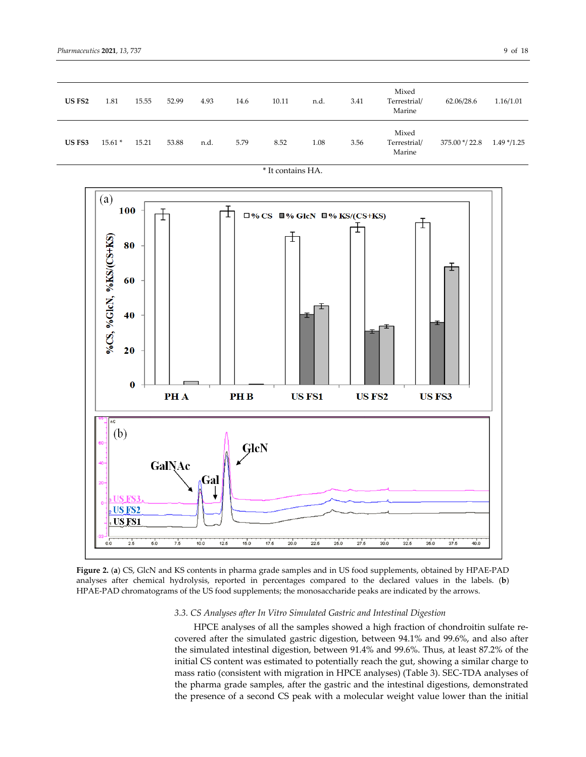| US FS2 | 1.81     | 15.55 | 52.99 | 4.93 | 14.6 | 10.11 | n.d. | 3.41 | Mixed<br>Terrestrial/<br>Marine | 62.06/28.6     | 1.16/1.01     |
|--------|----------|-------|-------|------|------|-------|------|------|---------------------------------|----------------|---------------|
| US FS3 | $15.61*$ | 15.21 | 53.88 | n.d. | 5.79 | 8.52  | 1.08 | 3.56 | Mixed<br>Terrestrial/<br>Marine | 375.00 */ 22.8 | $1.49*$ /1.25 |



**Figure 2.** (**a**) CS, GlcN and KS contents in pharma grade samples and in US food supplements, obtained by HPAE‐PAD analyses after chemical hydrolysis, reported in percentages compared to the declared values in the labels. (**b**) HPAE‐PAD chromatograms of the US food supplements; the monosaccharide peaks are indicated by the arrows.

## *3.3. CS Analyses after In Vitro Simulated Gastric and Intestinal Digestion*

HPCE analyses of all the samples showed a high fraction of chondroitin sulfate re‐ covered after the simulated gastric digestion, between 94.1% and 99.6%, and also after the simulated intestinal digestion, between 91.4% and 99.6%. Thus, at least 87.2% of the initial CS content was estimated to potentially reach the gut, showing a similar charge to mass ratio (consistent with migration in HPCE analyses) (Table 3). SEC‐TDA analyses of the pharma grade samples, after the gastric and the intestinal digestions, demonstrated the presence of a second CS peak with a molecular weight value lower than the initial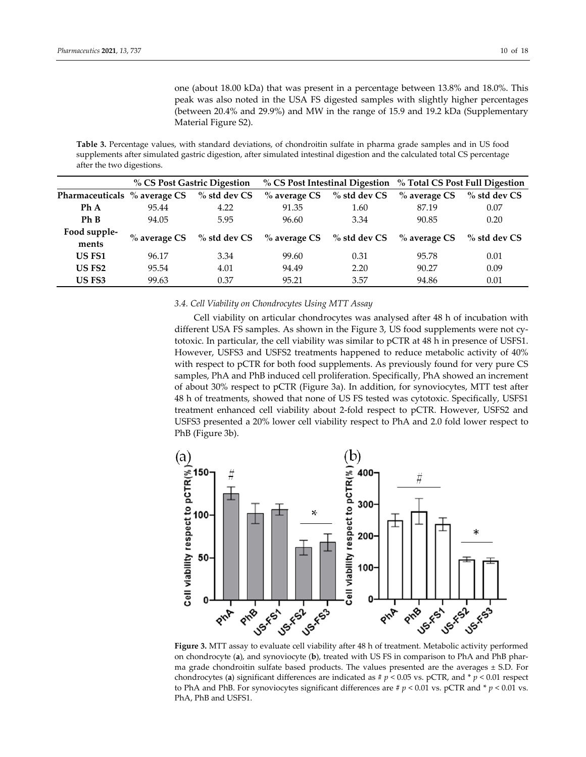one (about 18.00 kDa) that was present in a percentage between 13.8% and 18.0%. This peak was also noted in the USA FS digested samples with slightly higher percentages (between 20.4% and 29.9%) and MW in the range of 15.9 and 19.2 kDa (Supplementary Material Figure S2).

**Table 3.** Percentage values, with standard deviations, of chondroitin sulfate in pharma grade samples and in US food supplements after simulated gastric digestion, after simulated intestinal digestion and the calculated total CS percentage after the two digestions.

|                              | % CS Post Gastric Digestion |                 |                                              |                | % CS Post Intestinal Digestion % Total CS Post Full Digestion |                 |  |  |
|------------------------------|-----------------------------|-----------------|----------------------------------------------|----------------|---------------------------------------------------------------|-----------------|--|--|
| Pharmaceuticals % average CS |                             | $\%$ std dev CS | $%$ average CS                               | $%$ std dev CS | $%$ average CS                                                | $%$ std dev CS  |  |  |
| Ph A                         | 95.44                       | 4.22            | 91.35                                        | 1.60           | 87.19                                                         | 0.07            |  |  |
| Ph B                         | 94.05                       | 5.95            | 96.60                                        | 3.34           | 90.85                                                         | 0.20            |  |  |
| Food supple-<br>ments        | $\%$ average CS             |                 | % std dev $CS$ % average $CS$ % std dev $CS$ |                | $\%$ average CS                                               | $\%$ std dev CS |  |  |
| US FS1                       | 96.17                       | 3.34            | 99.60                                        | 0.31           | 95.78                                                         | 0.01            |  |  |
| <b>US FS2</b>                | 95.54                       | 4.01            | 94.49                                        | 2.20           | 90.27                                                         | 0.09            |  |  |
| US FS3                       | 99.63                       | 0.37            | 95.21                                        | 3.57           | 94.86                                                         | 0.01            |  |  |

#### *3.4. Cell Viability on Chondrocytes Using MTT Assay*

Cell viability on articular chondrocytes was analysed after 48 h of incubation with different USA FS samples. As shown in the Figure 3, US food supplements were not cy‐ totoxic. In particular, the cell viability was similar to pCTR at 48 h in presence of USFS1. However, USFS3 and USFS2 treatments happened to reduce metabolic activity of 40% with respect to pCTR for both food supplements. As previously found for very pure CS samples, PhA and PhB induced cell proliferation. Specifically, PhA showed an increment of about 30% respect to pCTR (Figure 3a). In addition, for synoviocytes, MTT test after 48 h of treatments, showed that none of US FS tested was cytotoxic. Specifically, USFS1 treatment enhanced cell viability about 2‐fold respect to pCTR. However, USFS2 and USFS3 presented a 20% lower cell viability respect to PhA and 2.0 fold lower respect to PhB (Figure 3b).



on chondrocyte (**a**), and synoviocyte (**b**), treated with US FS in comparison to PhA and PhB phar‐ ma grade chondroitin sulfate based products. The values presented are the averages ± S.D. For chondrocytes (**a**) significant differences are indicated as  $\sharp$  *p* < 0.05 vs. pCTR, and  $\sharp$  *p* < 0.01 respect to PhA and PhB. For synoviocytes significant differences are  $\sharp p < 0.01$  vs. pCTR and  $\sharp p < 0.01$  vs. PhA, PhB and USFS1.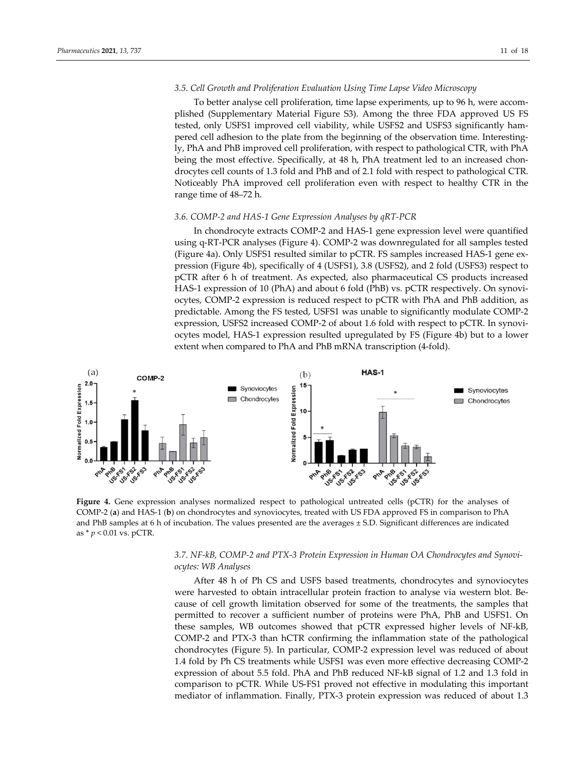# *3.5. Cell Growth and Proliferation Evaluation Using Time Lapse Video Microscopy*

To better analyse cell proliferation, time lapse experiments, up to 96 h, were accom‐ plished (Supplementary Material Figure S3). Among the three FDA approved US FS tested, only USFS1 improved cell viability, while USFS2 and USFS3 significantly ham‐ pered cell adhesion to the plate from the beginning of the observation time. Interesting‐ ly, PhA and PhB improved cell proliferation, with respect to pathological CTR, with PhA being the most effective. Specifically, at 48 h, PhA treatment led to an increased chondrocytes cell counts of 1.3 fold and PhB and of 2.1 fold with respect to pathological CTR. Noticeably PhA improved cell proliferation even with respect to healthy CTR in the range time of 48–72 h.

#### *3.6. COMP‐2 and HAS‐1 Gene Expression Analyses by qRT‐PCR*

In chondrocyte extracts COMP‐2 and HAS‐1 gene expression level were quantified using q‐RT‐PCR analyses (Figure 4). COMP‐2 was downregulated for all samples tested (Figure 4a). Only USFS1 resulted similar to pCTR. FS samples increased HAS‐1 gene ex‐ pression (Figure 4b), specifically of 4 (USFS1), 3.8 (USFS2), and 2 fold (USFS3) respect to pCTR after 6 h of treatment. As expected, also pharmaceutical CS products increased HAS-1 expression of 10 (PhA) and about 6 fold (PhB) vs. pCTR respectively. On synoviocytes, COMP‐2 expression is reduced respect to pCTR with PhA and PhB addition, as predictable. Among the FS tested, USFS1 was unable to significantly modulate COMP‐2 expression, USFS2 increased COMP-2 of about 1.6 fold with respect to pCTR. In synoviocytes model, HAS‐1 expression resulted upregulated by FS (Figure 4b) but to a lower extent when compared to PhA and PhB mRNA transcription (4‐fold).



**Figure 4.** Gene expression analyses normalized respect to pathological untreated cells (pCTR) for the analyses of COMP‐2 (**a**) and HAS‐1 (**b**) on chondrocytes and synoviocytes, treated with US FDA approved FS in comparison to PhA and PhB samples at 6 h of incubation. The values presented are the averages ± S.D. Significant differences are indicated as \* *p* < 0.01 vs. pCTR.

# *3.7. NF‐kB, COMP‐2 and PTX‐3 Protein Expression in Human OA Chondrocytes and Synovi‐ ocytes: WB Analyses*

After 48 h of Ph CS and USFS based treatments, chondrocytes and synoviocytes were harvested to obtain intracellular protein fraction to analyse via western blot. Because of cell growth limitation observed for some of the treatments, the samples that permitted to recover a sufficient number of proteins were PhA, PhB and USFS1. On these samples, WB outcomes showed that pCTR expressed higher levels of NF‐kB, COMP‐2 and PTX‐3 than hCTR confirming the inflammation state of the pathological chondrocytes (Figure 5). In particular, COMP‐2 expression level was reduced of about 1.4 fold by Ph CS treatments while USFS1 was even more effective decreasing COMP‐2 expression of about 5.5 fold. PhA and PhB reduced NF‐kB signal of 1.2 and 1.3 fold in comparison to pCTR. While US‐FS1 proved not effective in modulating this important mediator of inflammation. Finally, PTX‐3 protein expression was reduced of about 1.3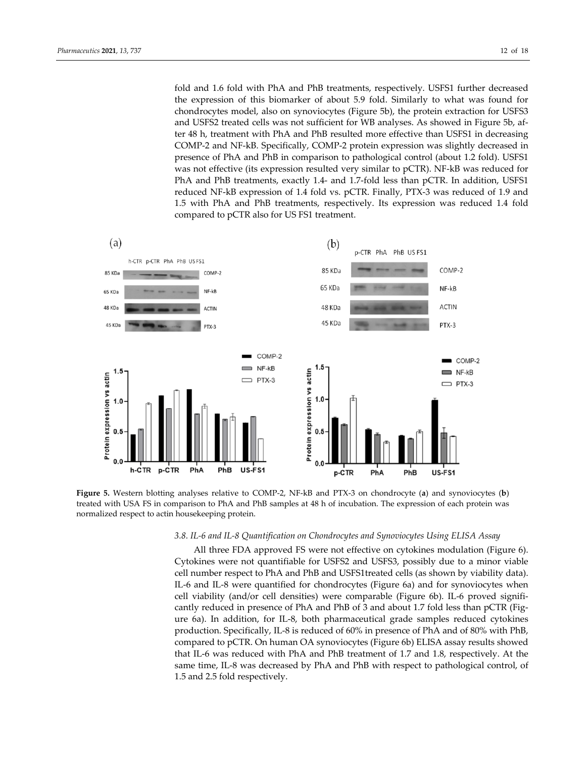fold and 1.6 fold with PhA and PhB treatments, respectively. USFS1 further decreased the expression of this biomarker of about 5.9 fold. Similarly to what was found for chondrocytes model, also on synoviocytes (Figure 5b), the protein extraction for USFS3 and USFS2 treated cells was not sufficient for WB analyses. As showed in Figure 5b, af‐ ter 48 h, treatment with PhA and PhB resulted more effective than USFS1 in decreasing COMP‐2 and NF‐kB. Specifically, COMP‐2 protein expression was slightly decreased in presence of PhA and PhB in comparison to pathological control (about 1.2 fold). USFS1

was not effective (its expression resulted very similar to pCTR). NF-kB was reduced for PhA and PhB treatments, exactly 1.4‐ and 1.7‐fold less than pCTR. In addition, USFS1 reduced NF‐kB expression of 1.4 fold vs. pCTR. Finally, PTX‐3 was reduced of 1.9 and 1.5 with PhA and PhB treatments, respectively. Its expression was reduced 1.4 fold compared to pCTR also for US FS1 treatment.



**Figure 5.** Western blotting analyses relative to COMP‐2, NF‐kB and PTX‐3 on chondrocyte (**a**) and synoviocytes (**b**) treated with USA FS in comparison to PhA and PhB samples at 48 h of incubation. The expression of each protein was normalized respect to actin housekeeping protein.

# *3.8. IL‐6 and IL‐8 Quantification on Chondrocytes and Synoviocytes Using ELISA Assay*

All three FDA approved FS were not effective on cytokines modulation (Figure 6). Cytokines were not quantifiable for USFS2 and USFS3, possibly due to a minor viable cell number respect to PhA and PhB and USFS1treated cells (as shown by viability data). IL‐6 and IL‐8 were quantified for chondrocytes (Figure 6a) and for synoviocytes when cell viability (and/or cell densities) were comparable (Figure 6b). IL‐6 proved signifi‐ cantly reduced in presence of PhA and PhB of 3 and about 1.7 fold less than pCTR (Fig‐ ure 6a). In addition, for IL‐8, both pharmaceutical grade samples reduced cytokines production. Specifically, IL‐8 is reduced of 60% in presence of PhA and of 80% with PhB, compared to pCTR. On human OA synoviocytes (Figure 6b) ELISA assay results showed that IL‐6 was reduced with PhA and PhB treatment of 1.7 and 1.8, respectively. At the same time, IL-8 was decreased by PhA and PhB with respect to pathological control, of 1.5 and 2.5 fold respectively.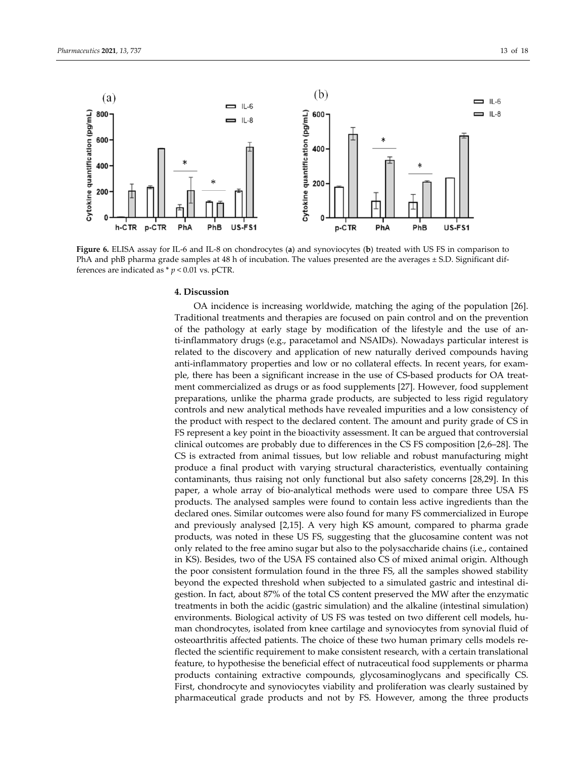

**Figure 6.** ELISA assay for IL‐6 and IL‐8 on chondrocytes (**a**) and synoviocytes (**b**) treated with US FS in comparison to PhA and phB pharma grade samples at 48 h of incubation. The values presented are the averages ± S.D. Significant differences are indicated as  $*$   $p$  < 0.01 vs. pCTR.

## **4. Discussion**

OA incidence is increasing worldwide, matching the aging of the population [26]. Traditional treatments and therapies are focused on pain control and on the prevention of the pathology at early stage by modification of the lifestyle and the use of an‐ ti-inflammatory drugs (e.g., paracetamol and NSAIDs). Nowadays particular interest is related to the discovery and application of new naturally derived compounds having anti-inflammatory properties and low or no collateral effects. In recent years, for example, there has been a significant increase in the use of CS‐based products for OA treat‐ ment commercialized as drugs or as food supplements [27]. However, food supplement preparations, unlike the pharma grade products, are subjected to less rigid regulatory controls and new analytical methods have revealed impurities and a low consistency of the product with respect to the declared content. The amount and purity grade of CS in FS represent a key point in the bioactivity assessment. It can be argued that controversial clinical outcomes are probably due to differences in the CS FS composition [2,6–28]. The CS is extracted from animal tissues, but low reliable and robust manufacturing might produce a final product with varying structural characteristics, eventually containing contaminants, thus raising not only functional but also safety concerns [28,29]. In this paper, a whole array of bio‐analytical methods were used to compare three USA FS products. The analysed samples were found to contain less active ingredients than the declared ones. Similar outcomes were also found for many FS commercialized in Europe and previously analysed [2,15]. A very high KS amount, compared to pharma grade products, was noted in these US FS, suggesting that the glucosamine content was not only related to the free amino sugar but also to the polysaccharide chains (i.e., contained in KS). Besides, two of the USA FS contained also CS of mixed animal origin. Although the poor consistent formulation found in the three FS, all the samples showed stability beyond the expected threshold when subjected to a simulated gastric and intestinal di‐ gestion. In fact, about 87% of the total CS content preserved the MW after the enzymatic treatments in both the acidic (gastric simulation) and the alkaline (intestinal simulation) environments. Biological activity of US FS was tested on two different cell models, human chondrocytes, isolated from knee cartilage and synoviocytes from synovial fluid of osteoarthritis affected patients. The choice of these two human primary cells models re‐ flected the scientific requirement to make consistent research, with a certain translational feature, to hypothesise the beneficial effect of nutraceutical food supplements or pharma products containing extractive compounds, glycosaminoglycans and specifically CS. First, chondrocyte and synoviocytes viability and proliferation was clearly sustained by pharmaceutical grade products and not by FS. However, among the three products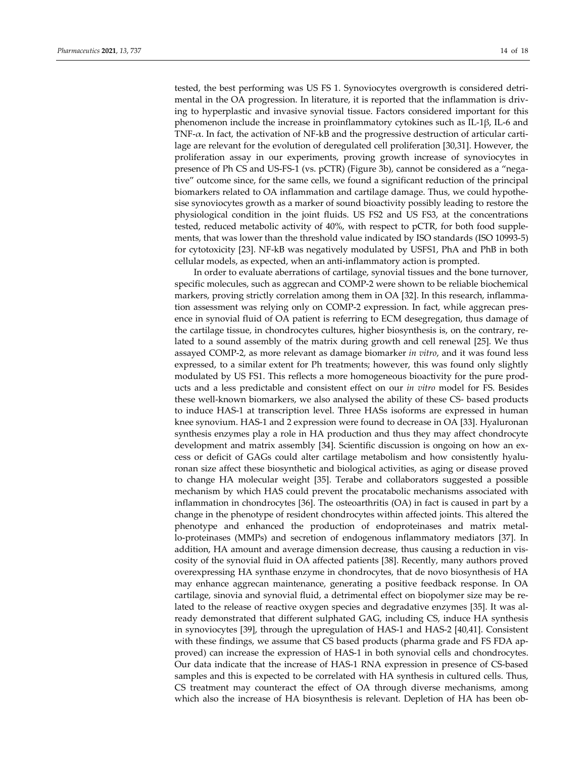tested, the best performing was US FS 1. Synoviocytes overgrowth is considered detrimental in the OA progression. In literature, it is reported that the inflammation is driv‐ ing to hyperplastic and invasive synovial tissue. Factors considered important for this phenomenon include the increase in proinflammatory cytokines such as IL‐1β, IL‐6 and TNF- $\alpha$ . In fact, the activation of NF-kB and the progressive destruction of articular cartilage are relevant for the evolution of deregulated cell proliferation [30,31]. However, the proliferation assay in our experiments, proving growth increase of synoviocytes in presence of Ph CS and US‐FS‐1 (vs. pCTR) (Figure 3b), cannot be considered as a "nega‐ tive" outcome since, for the same cells, we found a significant reduction of the principal biomarkers related to OA inflammation and cartilage damage. Thus, we could hypothe‐ sise synoviocytes growth as a marker of sound bioactivity possibly leading to restore the physiological condition in the joint fluids. US FS2 and US FS3, at the concentrations tested, reduced metabolic activity of 40%, with respect to pCTR, for both food supple‐ ments, that was lower than the threshold value indicated by ISO standards (ISO 10993‐5) for cytotoxicity [23]. NF‐kB was negatively modulated by USFS1, PhA and PhB in both cellular models, as expected, when an anti‐inflammatory action is prompted.

In order to evaluate aberrations of cartilage, synovial tissues and the bone turnover, specific molecules, such as aggrecan and COMP‐2 were shown to be reliable biochemical markers, proving strictly correlation among them in OA [32]. In this research, inflammation assessment was relying only on COMP‐2 expression. In fact, while aggrecan pres‐ ence in synovial fluid of OA patient is referring to ECM desegregation, thus damage of the cartilage tissue, in chondrocytes cultures, higher biosynthesis is, on the contrary, re‐ lated to a sound assembly of the matrix during growth and cell renewal [25]. We thus assayed COMP‐2, as more relevant as damage biomarker *in vitro*, and it was found less expressed, to a similar extent for Ph treatments; however, this was found only slightly modulated by US FS1. This reflects a more homogeneous bioactivity for the pure prod‐ ucts and a less predictable and consistent effect on our *in vitro* model for FS. Besides these well‐known biomarkers, we also analysed the ability of these CS‐ based products to induce HAS‐1 at transcription level. Three HASs isoforms are expressed in human knee synovium. HAS-1 and 2 expression were found to decrease in OA [33]. Hyaluronan synthesis enzymes play a role in HA production and thus they may affect chondrocyte development and matrix assembly [34]. Scientific discussion is ongoing on how an ex‐ cess or deficit of GAGs could alter cartilage metabolism and how consistently hyaluronan size affect these biosynthetic and biological activities, as aging or disease proved to change HA molecular weight [35]. Terabe and collaborators suggested a possible mechanism by which HAS could prevent the procatabolic mechanisms associated with inflammation in chondrocytes [36]. The osteoarthritis (OA) in fact is caused in part by a change in the phenotype of resident chondrocytes within affected joints. This altered the phenotype and enhanced the production of endoproteinases and matrix metal‐ lo-proteinases (MMPs) and secretion of endogenous inflammatory mediators [37]. In addition, HA amount and average dimension decrease, thus causing a reduction in vis‐ cosity of the synovial fluid in OA affected patients [38]. Recently, many authors proved overexpressing HA synthase enzyme in chondrocytes, that de novo biosynthesis of HA may enhance aggrecan maintenance, generating a positive feedback response. In OA cartilage, sinovia and synovial fluid, a detrimental effect on biopolymer size may be re‐ lated to the release of reactive oxygen species and degradative enzymes [35]. It was al‐ ready demonstrated that different sulphated GAG, including CS, induce HA synthesis in synoviocytes [39], through the upregulation of HAS‐1 and HAS‐2 [40,41]. Consistent with these findings, we assume that CS based products (pharma grade and FS FDA approved) can increase the expression of HAS‐1 in both synovial cells and chondrocytes. Our data indicate that the increase of HAS‐1 RNA expression in presence of CS‐based samples and this is expected to be correlated with HA synthesis in cultured cells. Thus, CS treatment may counteract the effect of OA through diverse mechanisms, among which also the increase of HA biosynthesis is relevant. Depletion of HA has been ob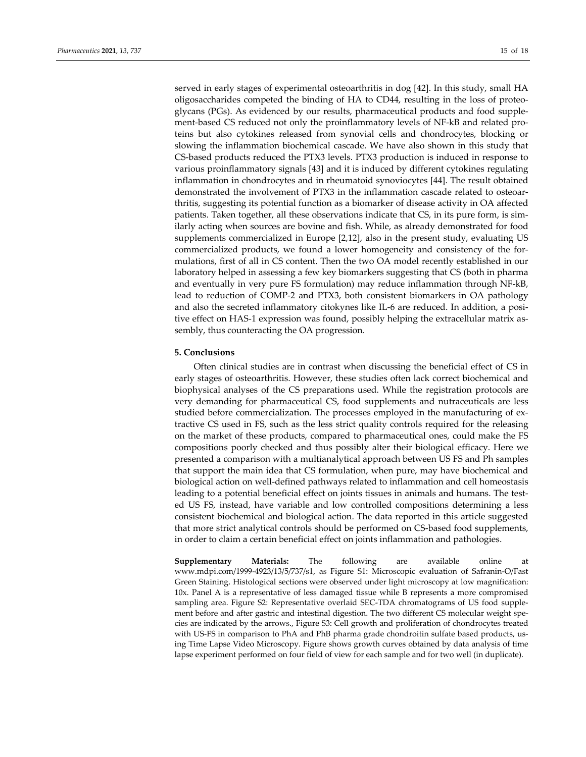served in early stages of experimental osteoarthritis in dog [42]. In this study, small HA oligosaccharides competed the binding of HA to CD44, resulting in the loss of proteo‐ glycans (PGs). As evidenced by our results, pharmaceutical products and food supple‐ ment-based CS reduced not only the proinflammatory levels of NF-kB and related proteins but also cytokines released from synovial cells and chondrocytes, blocking or slowing the inflammation biochemical cascade. We have also shown in this study that CS‐based products reduced the PTX3 levels. PTX3 production is induced in response to various proinflammatory signals [43] and it is induced by different cytokines regulating inflammation in chondrocytes and in rheumatoid synoviocytes [44]. The result obtained demonstrated the involvement of PTX3 in the inflammation cascade related to osteoar‐ thritis, suggesting its potential function as a biomarker of disease activity in OA affected patients. Taken together, all these observations indicate that CS, in its pure form, is similarly acting when sources are bovine and fish. While, as already demonstrated for food supplements commercialized in Europe [2,12], also in the present study, evaluating US commercialized products, we found a lower homogeneity and consistency of the for‐ mulations, first of all in CS content. Then the two OA model recently established in our laboratory helped in assessing a few key biomarkers suggesting that CS (both in pharma and eventually in very pure FS formulation) may reduce inflammation through NF‐kB, lead to reduction of COMP‐2 and PTX3, both consistent biomarkers in OA pathology and also the secreted inflammatory citokynes like IL‐6 are reduced. In addition, a posi‐ tive effect on HAS‐1 expression was found, possibly helping the extracellular matrix as‐ sembly, thus counteracting the OA progression.

## **5. Conclusions**

Often clinical studies are in contrast when discussing the beneficial effect of CS in early stages of osteoarthritis. However, these studies often lack correct biochemical and biophysical analyses of the CS preparations used. While the registration protocols are very demanding for pharmaceutical CS, food supplements and nutraceuticals are less studied before commercialization. The processes employed in the manufacturing of ex‐ tractive CS used in FS, such as the less strict quality controls required for the releasing on the market of these products, compared to pharmaceutical ones, could make the FS compositions poorly checked and thus possibly alter their biological efficacy. Here we presented a comparison with a multianalytical approach between US FS and Ph samples that support the main idea that CS formulation, when pure, may have biochemical and biological action on well‐defined pathways related to inflammation and cell homeostasis leading to a potential beneficial effect on joints tissues in animals and humans. The tested US FS, instead, have variable and low controlled compositions determining a less consistent biochemical and biological action. The data reported in this article suggested that more strict analytical controls should be performed on CS‐based food supplements, in order to claim a certain beneficial effect on joints inflammation and pathologies.

**Supplementary Materials:** The following are available online at www.mdpi.com/1999‐4923/13/5/737/s1, as Figure S1: Microscopic evaluation of Safranin‐O/Fast Green Staining. Histological sections were observed under light microscopy at low magnification: 10x. Panel A is a representative of less damaged tissue while B represents a more compromised sampling area. Figure S2: Representative overlaid SEC-TDA chromatograms of US food supplement before and after gastric and intestinal digestion. The two different CS molecular weight species are indicated by the arrows., Figure S3: Cell growth and proliferation of chondrocytes treated with US-FS in comparison to PhA and PhB pharma grade chondroitin sulfate based products, using Time Lapse Video Microscopy. Figure shows growth curves obtained by data analysis of time lapse experiment performed on four field of view for each sample and for two well (in duplicate).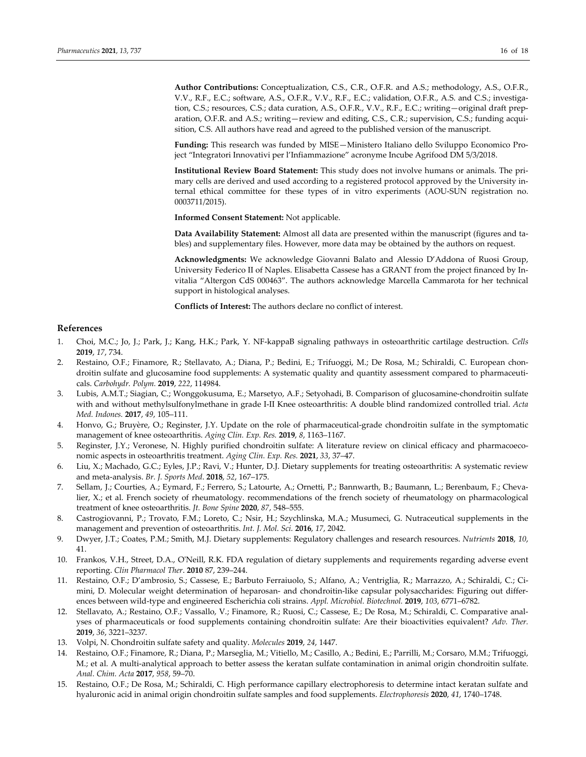**Author Contributions:** Conceptualization, C.S., C.R., O.F.R. and A.S.; methodology, A.S., O.F.R., V.V., R.F., E.C.; software, A.S., O.F.R., V.V., R.F., E.C.; validation, O.F.R., A.S. and C.S.; investiga‐ tion, C.S.; resources, C.S.; data curation, A.S., O.F.R., V.V., R.F., E.C.; writing—original draft preparation, O.F.R. and A.S.; writing—review and editing, C.S., C.R.; supervision, C.S.; funding acquisition, C.S. All authors have read and agreed to the published version of the manuscript.

**Funding:** This research was funded by MISE—Ministero Italiano dello Sviluppo Economico Pro‐ ject "Integratori Innovativi per l'Infiammazione" acronyme Incube Agrifood DM 5/3/2018.

**Institutional Review Board Statement:** This study does not involve humans or animals. The pri‐ mary cells are derived and used according to a registered protocol approved by the University in‐ ternal ethical committee for these types of in vitro experiments (AOU‐SUN registration no. 0003711/2015).

**Informed Consent Statement:** Not applicable.

**Data Availability Statement:** Almost all data are presented within the manuscript (figures and ta‐ bles) and supplementary files. However, more data may be obtained by the authors on request.

**Acknowledgments:** We acknowledge Giovanni Balato and Alessio D'Addona of Ruosi Group, University Federico II of Naples. Elisabetta Cassese has a GRANT from the project financed by In‐ vitalia "Altergon CdS 000463". The authors acknowledge Marcella Cammarota for her technical support in histological analyses.

**Conflicts of Interest:** The authors declare no conflict of interest.

#### **References**

- 1. Choi, M.C.; Jo, J.; Park, J.; Kang, H.K.; Park, Y. NF‐kappaB signaling pathways in osteoarthritic cartilage destruction. *Cells* **2019**, *17*, 734.
- 2. Restaino, O.F.; Finamore, R.; Stellavato, A.; Diana, P.; Bedini, E.; Trifuoggi, M.; De Rosa, M.; Schiraldi, C. European chon‐ droitin sulfate and glucosamine food supplements: A systematic quality and quantity assessment compared to pharmaceuticals. *Carbohydr. Polym.* **2019**, *222*, 114984.
- 3. Lubis, A.M.T.; Siagian, C.; Wonggokusuma, E.; Marsetyo, A.F.; Setyohadi, B. Comparison of glucosamine‐chondroitin sulfate with and without methylsulfonylmethane in grade I‐II Knee osteoarthritis: A double blind randomized controlled trial. *Acta Med. Indones.* **2017**, *49*, 105–111.
- 4. Honvo, G.; Bruyère, O.; Reginster, J.Y. Update on the role of pharmaceutical-grade chondroitin sulfate in the symptomatic management of knee osteoarthritis. *Aging Clin. Exp. Res.* **2019**, *8*, 1163–1167.
- 5. Reginster, J.Y.; Veronese, N. Highly purified chondroitin sulfate: A literature review on clinical efficacy and pharmacoeconomic aspects in osteoarthritis treatment. *Aging Clin. Exp. Res.* **2021**, *33*, 37–47.
- 6. Liu, X.; Machado, G.C.; Eyles, J.P.; Ravi, V.; Hunter, D.J. Dietary supplements for treating osteoarthritis: A systematic review and meta‐analysis. *Br. J. Sports Med*. **2018**, *52*, 167–175.
- 7. Sellam, J.; Courties, A.; Eymard, F.; Ferrero, S.; Latourte, A.; Ornetti, P.; Bannwarth, B.; Baumann, L.; Berenbaum, F.; Chevalier, X.; et al. French society of rheumatology. recommendations of the french society of rheumatology on pharmacological treatment of knee osteoarthritis. *Jt. Bone Spine* **2020**, *87*, 548–555.
- 8. Castrogiovanni, P.; Trovato, F.M.; Loreto, C.; Nsir, H.; Szychlinska, M.A.; Musumeci, G. Nutraceutical supplements in the management and prevention of osteoarthritis. *Int. J. Mol. Sci.* **2016**, *17*, 2042.
- 9. Dwyer, J.T.; Coates, P.M.; Smith, M.J. Dietary supplements: Regulatory challenges and research resources. *Nutrients* **2018**, *10*, 41.
- 10. Frankos, V.H., Street, D.A., OʹNeill, R.K. FDA regulation of dietary supplements and requirements regarding adverse event reporting. *Clin Pharmacol Ther*. **2010** 87, 239–244.
- 11. Restaino, O.F.; D'ambrosio, S.; Cassese, E.; Barbuto Ferraiuolo, S.; Alfano, A.; Ventriglia, R.; Marrazzo, A.; Schiraldi, C.; Ci‐ mini, D. Molecular weight determination of heparosan- and chondroitin-like capsular polysaccharides: Figuring out differences between wild‐type and engineered Escherichia coli strains. *Appl. Microbiol. Biotechnol.* **2019**, *103*, 6771–6782.
- 12. Stellavato, A.; Restaino, O.F.; Vassallo, V.; Finamore, R.; Ruosi, C.; Cassese, E.; De Rosa, M.; Schiraldi, C. Comparative anal‐ yses of pharmaceuticals or food supplements containing chondroitin sulfate: Are their bioactivities equivalent? *Adv. Ther.* **2019**, *36*, 3221–3237.
- 13. Volpi, N. Chondroitin sulfate safety and quality. *Molecules* **2019**, *24*, 1447.
- 14. Restaino, O.F.; Finamore, R.; Diana, P.; Marseglia, M.; Vitiello, M.; Casillo, A.; Bedini, E.; Parrilli, M.; Corsaro, M.M.; Trifuoggi, M.; et al. A multi‐analytical approach to better assess the keratan sulfate contamination in animal origin chondroitin sulfate. *Anal. Chim. Acta* **2017**, *958*, 59–70.
- 15. Restaino, O.F.; De Rosa, M.; Schiraldi, C. High performance capillary electrophoresis to determine intact keratan sulfate and hyaluronic acid in animal origin chondroitin sulfate samples and food supplements. *Electrophoresis* **2020**, *41*, 1740–1748.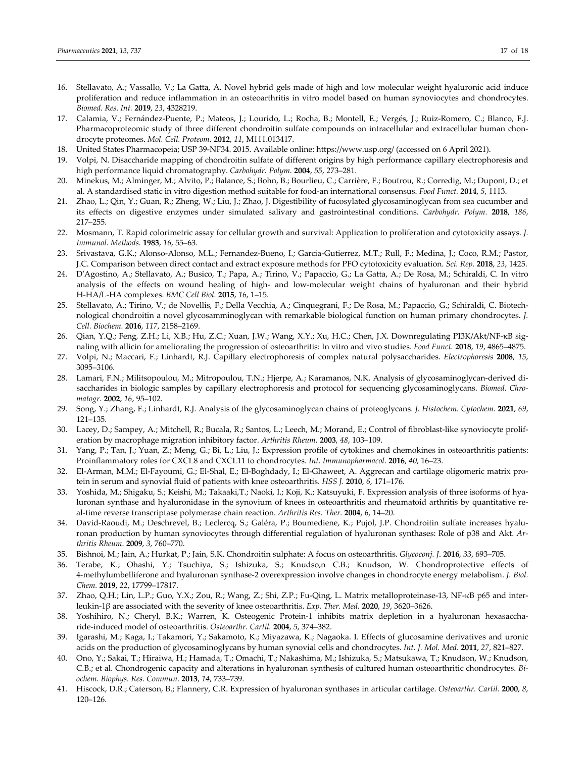- 16. Stellavato, A.; Vassallo, V.; La Gatta, A. Novel hybrid gels made of high and low molecular weight hyaluronic acid induce proliferation and reduce inflammation in an osteoarthritis in vitro model based on human synoviocytes and chondrocytes. *Biomed. Res. Int.* **2019**, *23*, 4328219.
- 17. Calamia, V.; Fernández‐Puente, P.; Mateos, J.; Lourido, L.; Rocha, B.; Montell, E.; Vergés, J.; Ruiz‐Romero, C.; Blanco, F.J. Pharmacoproteomic study of three different chondroitin sulfate compounds on intracellular and extracellular human chondrocyte proteomes. *Mol. Cell. Proteom.* **2012**, *11*, M111.013417.
- 18. United States Pharmacopeia; USP 39‐NF34. 2015. Available online: https://www.usp.org/ (accessed on 6 April 2021).
- 19. Volpi, N. Disaccharide mapping of chondroitin sulfate of different origins by high performance capillary electrophoresis and high performance liquid chromatography. *Carbohydr. Polym.* **2004**, *55*, 273–281.
- 20. Minekus, M.; Alminger, M.; Alvito, P.; Balance, S.; Bohn, B.; Bourlieu, C.; Carrière, F.; Boutrou, R.; Corredig, M.; Dupont, D.; et al. A standardised static in vitro digestion method suitable for food‐an international consensus. *Food Funct.* **2014**, *5*, 1113.
- 21. Zhao, L.; Qin, Y.; Guan, R.; Zheng, W.; Liu, J.; Zhao, J. Digestibility of fucosylated glycosaminoglycan from sea cucumber and its effects on digestive enzymes under simulated salivary and gastrointestinal conditions. *Carbohydr. Polym.* **2018**, *186*, 217–255.
- 22. Mosmann, T. Rapid colorimetric assay for cellular growth and survival: Application to proliferation and cytotoxicity assays*. J. Immunol. Methods.* **1983**, *16*, 55–63.
- 23. Srivastava, G.K.; Alonso‐Alonso, M.L.; Fernandez‐Bueno, I.; Garcia‐Gutierrez, M.T.; Rull, F.; Medina, J.; Coco, R.M.; Pastor, J.C. Comparison between direct contact and extract exposure methods for PFO cytotoxicity evaluation. *Sci. Rep.* **2018**, *23*, 1425.
- 24. DʹAgostino, A.; Stellavato, A.; Busico, T.; Papa, A.; Tirino, V.; Papaccio, G.; La Gatta, A.; De Rosa, M.; Schiraldi, C. In vitro analysis of the effects on wound healing of high‐ and low‐molecular weight chains of hyaluronan and their hybrid H‐HA/L‐HA complexes. *BMC Cell Biol.* **2015**, *16*, 1–15.
- 25. Stellavato, A.; Tirino, V.; de Novellis, F.; Della Vecchia, A.; Cinquegrani, F.; De Rosa, M.; Papaccio, G.; Schiraldi, C. Biotech‐ nological chondroitin a novel glycosamminoglycan with remarkable biological function on human primary chondrocytes. *J. Cell. Biochem.* **2016**, *117*, 2158–2169.
- 26. Qian, Y.Q.; Feng, Z.H.; Li, X.B.; Hu, Z.C.; Xuan, J.W.; Wang, X.Y.; Xu, H.C.; Chen, J.X. Downregulating PI3K/Akt/NF‐κB sig‐ naling with allicin for ameliorating the progression of osteoarthritis: In vitro and vivo studies. *Food Funct.* **2018**, *19*, 4865–4875.
- 27. Volpi, N.; Maccari, F.; Linhardt, R.J. Capillary electrophoresis of complex natural polysaccharides. *Electrophoresis* **2008**, *15*, 3095–3106.
- 28. Lamari, F.N.; Militsopoulou, M.; Mitropoulou, T.N.; Hjerpe, A.; Karamanos, N.K. Analysis of glycosaminoglycan‐derived di‐ saccharides in biologic samples by capillary electrophoresis and protocol for sequencing glycosaminoglycans. *Biomed. Chro‐ matogr.* **2002**, *16*, 95–102.
- 29. Song, Y.; Zhang, F.; Linhardt, R.J. Analysis of the glycosaminoglycan chains of proteoglycans. *J. Histochem. Cytochem*. **2021**, *69*, 121–135.
- 30. Lacey, D.; Sampey, A.; Mitchell, R.; Bucala, R.; Santos, L.; Leech, M.; Morand, E.; Control of fibroblast-like synoviocyte proliferation by macrophage migration inhibitory factor. *Arthritis Rheum.* **2003**, *48*, 103–109.
- 31. Yang, P.; Tan, J.; Yuan, Z.; Meng, G.; Bi, L.; Liu, J.; Expression profile of cytokines and chemokines in osteoarthritis patients: Proinflammatory roles for CXCL8 and CXCL11 to chondrocytes. *Int. Immunopharmacol*. **2016**, *40*, 16–23.
- 32. El-Arman, M.M.; El-Fayoumi, G.; El-Shal, E.; El-Boghdady, I.; El-Ghaweet, A. Aggrecan and cartilage oligomeric matrix protein in serum and synovial fluid of patients with knee osteoarthritis. *HSS J.* **2010**, *6*, 171–176.
- 33. Yoshida, M.; Shigaku, S.; Keishi, M.; Takaaki,T.; Naoki, I.; Koji, K.; Katsuyuki, F. Expression analysis of three isoforms of hya‐ luronan synthase and hyaluronidase in the synovium of knees in osteoarthritis and rheumatoid arthritis by quantitative real‐time reverse transcriptase polymerase chain reaction. *Arthritis Res. Ther.* **2004**, *6*, 14–20.
- 34. David-Raoudi, M.; Deschrevel, B.; Leclercq, S.; Galéra, P.; Boumediene, K.; Pujol, J.P. Chondroitin sulfate increases hyaluronan production by human synoviocytes through differential regulation of hyaluronan synthases: Role of p38 and Akt. *Ar‐ thritis Rheum*. **2009**, *3*, 760–770.
- 35. Bishnoi, M.; Jain, A.; Hurkat, P.; Jain, S.K. Chondroitin sulphate: A focus on osteoarthritis. *Glycoconj. J*. **2016**, *33*, 693–705.
- 36. Terabe, K.; Ohashi, Y.; Tsuchiya, S.; Ishizuka, S.; Knudso,n C.B.; Knudson, W. Chondroprotective effects of 4‐methylumbelliferone and hyaluronan synthase‐2 overexpression involve changes in chondrocyte energy metabolism. *J. Biol. Chem.* **2019**, *22*, 17799–17817.
- 37. Zhao, Q.H.; Lin, L.P.; Guo, Y.X.; Zou, R.; Wang, Z.; Shi, Z.P.; Fu‐Qing, L. Matrix metalloproteinase‐13, NF‐κB p65 and inter‐ leukin‐1β are associated with the severity of knee osteoarthritis. *Exp. Ther. Med*. **2020**, *19*, 3620–3626.
- 38. Yoshihiro, N.; Cheryl, B.K.; Warren, K. Osteogenic Protein‐1 inhibits matrix depletion in a hyaluronan hexasaccha‐ ride‐induced model of osteoarthritis. *Osteoarthr. Cartil.* **2004**, *5*, 374–382.
- 39. Igarashi, M.; Kaga, I.; Takamori, Y.; Sakamoto, K.; Miyazawa, K.; Nagaoka. I. Effects of glucosamine derivatives and uronic acids on the production of glycosaminoglycans by human synovial cells and chondrocytes. *Int. J. Mol. Med*. **2011**, *27*, 821–827.
- 40. Ono, Y.; Sakai, T.; Hiraiwa, H.; Hamada, T.; Omachi, T.; Nakashima, M.; Ishizuka, S.; Matsukawa, T.; Knudson, W.; Knudson, C.B.; et al. Chondrogenic capacity and alterations in hyaluronan synthesis of cultured human osteoarthritic chondrocytes. *Bi‐ ochem. Biophys. Res. Commun*. **2013**, *14*, 733–739.
- 41. Hiscock, D.R.; Caterson, B.; Flannery, C.R. Expression of hyaluronan synthases in articular cartilage. *Osteoarthr. Cartil.* **2000**, *8*, 120–126.